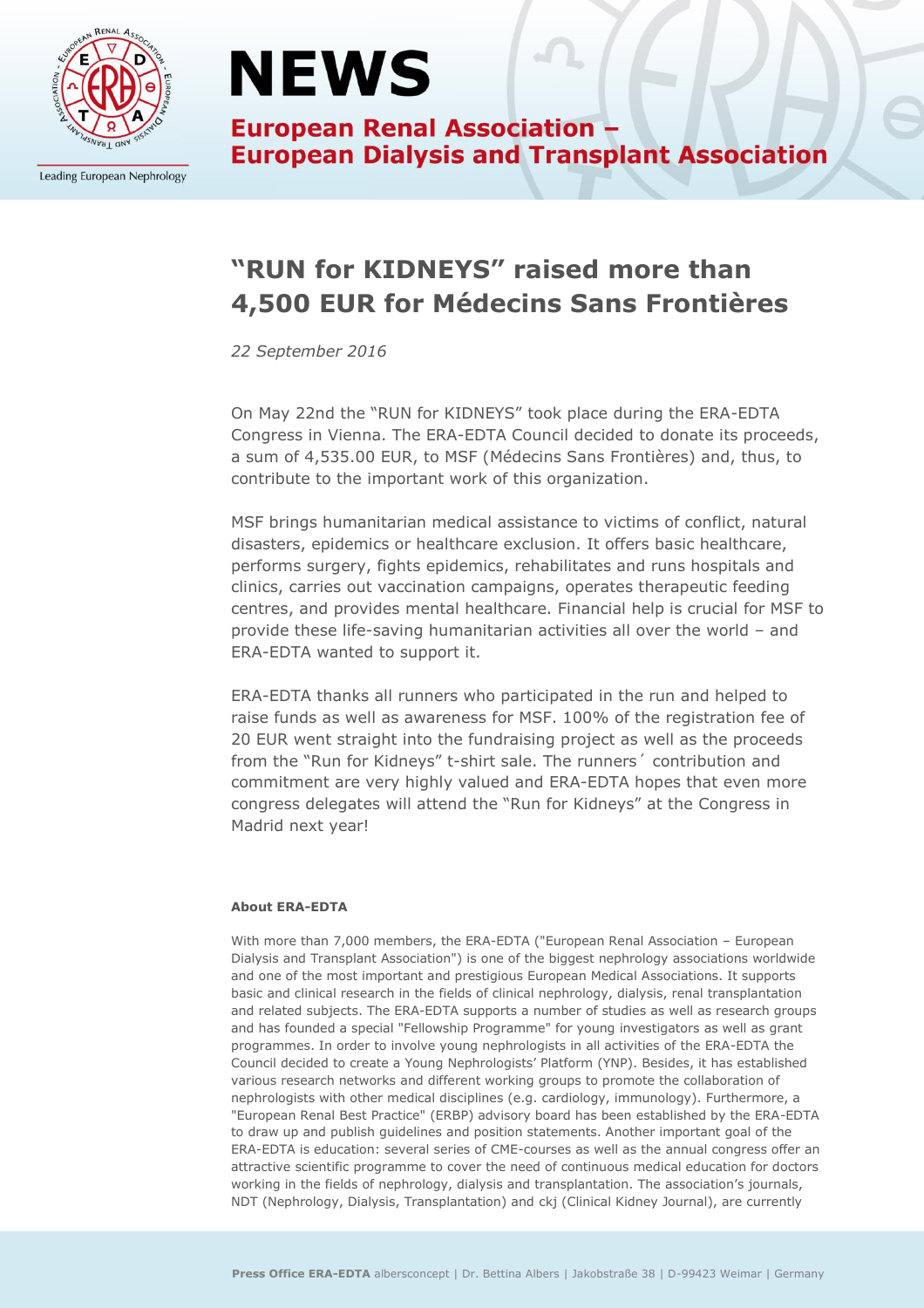

Leading European Nephrology

### **NEWS**

**European Renal Association -European Dialysis and Transplant Association** 

### **"RUN for KIDNEYS" raised more than 4,500 EUR for Médecins Sans Frontières**

*22 September 2016*

On May 22nd the "RUN for KIDNEYS" took place during the ERA-EDTA Congress in Vienna. The ERA-EDTA Council decided to donate its proceeds, a sum of 4,535.00 EUR, to MSF (Médecins Sans Frontières) and, thus, to contribute to the important work of this organization.

MSF brings humanitarian medical assistance to victims of conflict, natural disasters, epidemics or healthcare exclusion. It offers basic healthcare, performs surgery, fights epidemics, rehabilitates and runs hospitals and clinics, carries out vaccination campaigns, operates therapeutic feeding centres, and provides mental healthcare. Financial help is crucial for MSF to provide these life-saving humanitarian activities all over the world – and ERA-EDTA wanted to support it.

ERA-EDTA thanks all runners who participated in the run and helped to raise funds as well as awareness for MSF. 100% of the registration fee of 20 EUR went straight into the fundraising project as well as the proceeds from the "Run for Kidneys" t-shirt sale. The runners´ contribution and commitment are very highly valued and ERA-EDTA hopes that even more congress delegates will attend the "Run for Kidneys" at the Congress in Madrid next year!

#### **About ERA-EDTA**

With more than 7,000 members, the ERA-EDTA ("European Renal Association – European Dialysis and Transplant Association") is one of the biggest nephrology associations worldwide and one of the most important and prestigious European Medical Associations. It supports basic and clinical research in the fields of clinical nephrology, dialysis, renal transplantation and related subjects. The ERA-EDTA supports a number of studies as well as research groups and has founded a special "Fellowship Programme" for young investigators as well as grant programmes. In order to involve young nephrologists in all activities of the ERA-EDTA the Council decided to create a Young Nephrologists' Platform (YNP). Besides, it has established various research networks and different working groups to promote the collaboration of nephrologists with other medical disciplines (e.g. cardiology, immunology). Furthermore, a "European Renal Best Practice" (ERBP) advisory board has been established by the ERA-EDTA to draw up and publish guidelines and position statements. Another important goal of the ERA-EDTA is education: several series of CME-courses as well as the annual congress offer an attractive scientific programme to cover the need of continuous medical education for doctors working in the fields of nephrology, dialysis and transplantation. The association's journals, NDT (Nephrology, Dialysis, Transplantation) and ckj (Clinical Kidney Journal), are currently